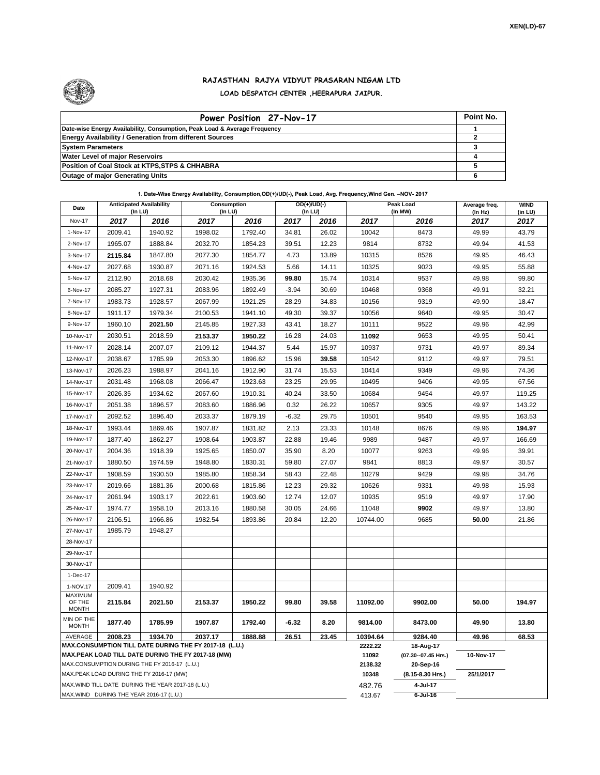

## **RAJASTHAN RAJYA VIDYUT PRASARAN NIGAM LTD LOAD DESPATCH CENTER ,HEERAPURA JAIPUR.**

| Power Position 27-Nov-17                                                  | Point No. |
|---------------------------------------------------------------------------|-----------|
| Date-wise Energy Availability, Consumption, Peak Load & Average Frequency |           |
| <b>Energy Availability / Generation from different Sources</b>            |           |
| <b>System Parameters</b>                                                  |           |
| <b>Water Level of major Reservoirs</b>                                    |           |
| Position of Coal Stock at KTPS, STPS & CHHABRA                            |           |
| <b>Outage of major Generating Units</b>                                   |           |

## **1. Date-Wise Energy Availability, Consumption,OD(+)/UD(-), Peak Load, Avg. Frequency,Wind Gen. –NOV- 2017**

| Date                                                                                                         | <b>Anticipated Availability</b><br>$($ In LU $)$   |         | Consumption<br>(In LU) |         | $OD(+) / UD(-)$<br>(In LU) |       |                     | Peak Load<br>(In MW)             | Average freq.<br>(In Hz) | <b>WIND</b><br>(in LU) |  |
|--------------------------------------------------------------------------------------------------------------|----------------------------------------------------|---------|------------------------|---------|----------------------------|-------|---------------------|----------------------------------|--------------------------|------------------------|--|
| <b>Nov-17</b>                                                                                                | 2017                                               | 2016    | 2017                   | 2016    | 2017                       | 2016  | 2017                | 2016                             | 2017                     | 2017                   |  |
| 1-Nov-17                                                                                                     | 2009.41                                            | 1940.92 | 1998.02                | 1792.40 | 34.81                      | 26.02 | 10042               | 8473                             | 49.99                    | 43.79                  |  |
| 2-Nov-17                                                                                                     | 1965.07                                            | 1888.84 | 2032.70                | 1854.23 | 39.51                      | 12.23 | 9814                | 8732                             | 49.94                    | 41.53                  |  |
| 3-Nov-17                                                                                                     | 2115.84                                            | 1847.80 | 2077.30                | 1854.77 | 4.73                       | 13.89 | 10315               | 8526                             | 49.95                    | 46.43                  |  |
| 4-Nov-17                                                                                                     | 2027.68                                            | 1930.87 | 2071.16                | 1924.53 | 5.66                       | 14.11 | 10325               | 9023                             | 49.95                    | 55.88                  |  |
| 5-Nov-17                                                                                                     | 2112.90                                            | 2018.68 | 2030.42                | 1935.36 | 99.80                      | 15.74 | 10314               | 9537                             | 49.98                    | 99.80                  |  |
| 6-Nov-17                                                                                                     | 2085.27                                            | 1927.31 | 2083.96                | 1892.49 | $-3.94$                    | 30.69 | 10468               | 9368                             | 49.91                    | 32.21                  |  |
| 7-Nov-17                                                                                                     | 1983.73                                            | 1928.57 | 2067.99                | 1921.25 | 28.29                      | 34.83 | 10156               | 9319                             | 49.90                    | 18.47                  |  |
| 8-Nov-17                                                                                                     | 1911.17                                            | 1979.34 | 2100.53                | 1941.10 | 49.30                      | 39.37 | 10056               | 9640                             | 49.95                    | 30.47                  |  |
| 9-Nov-17                                                                                                     | 1960.10                                            | 2021.50 | 2145.85                | 1927.33 | 43.41                      | 18.27 | 10111               | 9522                             | 49.96                    | 42.99                  |  |
| 10-Nov-17                                                                                                    | 2030.51                                            | 2018.59 | 2153.37                | 1950.22 | 16.28                      | 24.03 | 11092               | 9653                             | 49.95                    | 50.41                  |  |
| 11-Nov-17                                                                                                    | 2028.14                                            | 2007.07 | 2109.12                | 1944.37 | 5.44                       | 15.97 | 10937               | 9731                             | 49.97                    | 89.34                  |  |
| 12-Nov-17                                                                                                    | 2038.67                                            | 1785.99 | 2053.30                | 1896.62 | 15.96                      | 39.58 | 10542               | 9112                             | 49.97                    | 79.51                  |  |
| 13-Nov-17                                                                                                    | 2026.23                                            | 1988.97 | 2041.16                | 1912.90 | 31.74                      | 15.53 | 10414               | 9349                             | 49.96                    | 74.36                  |  |
| 14-Nov-17                                                                                                    | 2031.48                                            | 1968.08 | 2066.47                | 1923.63 | 23.25                      | 29.95 | 10495               | 9406                             | 49.95                    | 67.56                  |  |
| 15-Nov-17                                                                                                    | 2026.35                                            | 1934.62 | 2067.60                | 1910.31 | 40.24                      | 33.50 | 10684               | 9454                             | 49.97                    | 119.25                 |  |
| 16-Nov-17                                                                                                    | 2051.38                                            | 1896.57 | 2083.60                | 1886.96 | 0.32                       | 26.22 | 10657               | 9305                             | 49.97                    | 143.22                 |  |
| 17-Nov-17                                                                                                    | 2092.52                                            | 1896.40 | 2033.37                | 1879.19 | $-6.32$                    | 29.75 | 10501               | 9540                             | 49.95                    | 163.53                 |  |
| 18-Nov-17                                                                                                    | 1993.44                                            | 1869.46 | 1907.87                | 1831.82 | 2.13                       | 23.33 | 10148               | 8676                             | 49.96                    | 194.97                 |  |
| 19-Nov-17                                                                                                    | 1877.40                                            | 1862.27 | 1908.64                | 1903.87 | 22.88                      | 19.46 | 9989                | 9487                             | 49.97                    | 166.69                 |  |
| 20-Nov-17                                                                                                    | 2004.36                                            | 1918.39 | 1925.65                | 1850.07 | 35.90                      | 8.20  | 10077               | 9263                             | 49.96                    | 39.91                  |  |
| 21-Nov-17                                                                                                    | 1880.50                                            | 1974.59 | 1948.80                | 1830.31 | 59.80                      | 27.07 | 9841                | 8813                             | 49.97                    | 30.57                  |  |
| 22-Nov-17                                                                                                    | 1908.59                                            | 1930.50 | 1985.80                | 1858.34 | 58.43                      | 22.48 | 10279               | 9429                             | 49.98                    | 34.76                  |  |
| 23-Nov-17                                                                                                    | 2019.66                                            | 1881.36 | 2000.68                | 1815.86 | 12.23                      | 29.32 | 10626               | 9331                             | 49.98                    | 15.93                  |  |
| 24-Nov-17                                                                                                    | 2061.94                                            | 1903.17 | 2022.61                | 1903.60 | 12.74                      | 12.07 | 10935               | 9519                             | 49.97                    | 17.90                  |  |
| 25-Nov-17                                                                                                    | 1974.77                                            | 1958.10 | 2013.16                | 1880.58 | 30.05                      | 24.66 | 11048               | 9902                             | 49.97                    | 13.80                  |  |
| 26-Nov-17                                                                                                    | 2106.51                                            | 1966.86 | 1982.54                | 1893.86 | 20.84                      | 12.20 | 10744.00            | 9685                             | 50.00                    | 21.86                  |  |
| 27-Nov-17                                                                                                    | 1985.79                                            | 1948.27 |                        |         |                            |       |                     |                                  |                          |                        |  |
| 28-Nov-17                                                                                                    |                                                    |         |                        |         |                            |       |                     |                                  |                          |                        |  |
| 29-Nov-17                                                                                                    |                                                    |         |                        |         |                            |       |                     |                                  |                          |                        |  |
| 30-Nov-17                                                                                                    |                                                    |         |                        |         |                            |       |                     |                                  |                          |                        |  |
| 1-Dec-17                                                                                                     |                                                    |         |                        |         |                            |       |                     |                                  |                          |                        |  |
| 1-NOV.17<br>MAXIMUM                                                                                          | 2009.41                                            | 1940.92 |                        |         |                            |       |                     |                                  |                          |                        |  |
| OF THE<br><b>MONTH</b>                                                                                       | 2115.84                                            | 2021.50 | 2153.37                | 1950.22 | 99.80                      | 39.58 | 11092.00            | 9902.00                          | 50.00                    | 194.97                 |  |
| MIN OF THE<br><b>MONTH</b>                                                                                   | 1877.40                                            | 1785.99 | 1907.87                | 1792.40 | -6.32                      | 8.20  | 9814.00             | 8473.00                          | 49.90                    | 13.80                  |  |
| AVERAGE                                                                                                      | 2008.23                                            | 1934.70 | 2037.17                | 1888.88 | 26.51                      | 23.45 | 10394.64<br>2222.22 | 9284.40                          | 49.96                    | 68.53                  |  |
| MAX.CONSUMPTION TILL DATE DURING THE FY 2017-18 (L.U.)<br>MAX.PEAK LOAD TILL DATE DURING THE FY 2017-18 (MW) |                                                    |         |                        |         |                            |       |                     | 18-Aug-17<br>(07.30--07.45 Hrs.) | 10-Nov-17                |                        |  |
| MAX.CONSUMPTION DURING THE FY 2016-17 (L.U.)                                                                 |                                                    |         |                        |         |                            |       |                     | 20-Sep-16                        |                          |                        |  |
| MAX.PEAK LOAD DURING THE FY 2016-17 (MW)                                                                     |                                                    |         |                        |         |                            |       |                     | (8.15-8.30 Hrs.)                 | 25/1/2017                |                        |  |
|                                                                                                              | MAX. WIND TILL DATE DURING THE YEAR 2017-18 (L.U.) |         |                        |         |                            |       | 482.76              | 4-Jul-17                         |                          |                        |  |
|                                                                                                              | MAX.WIND DURING THE YEAR 2016-17 (L.U.)            |         |                        | 413.67  | $6$ -Jul-16                |       |                     |                                  |                          |                        |  |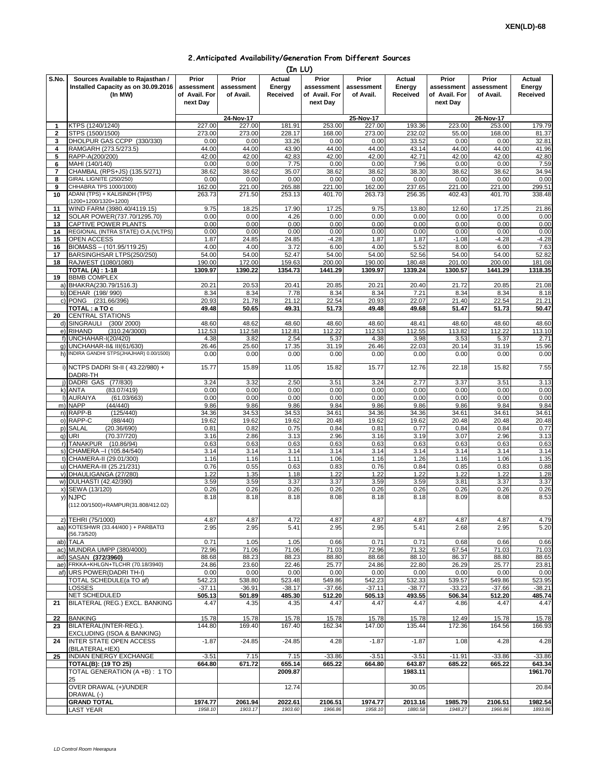## **2.Anticipated Availability/Generation From Different Sources**

|                |                                                                                    |                                                  |                                  | (In LU)                      |                                                  |                                  |                              |                                                  |                                  |                              |
|----------------|------------------------------------------------------------------------------------|--------------------------------------------------|----------------------------------|------------------------------|--------------------------------------------------|----------------------------------|------------------------------|--------------------------------------------------|----------------------------------|------------------------------|
| S.No.          | Sources Available to Rajasthan /<br>Installed Capacity as on 30.09.2016<br>(In MW) | Prior<br>assessment<br>of Avail. For<br>next Day | Prior<br>assessment<br>of Avail. | Actual<br>Energy<br>Received | Prior<br>assessment<br>of Avail. For<br>next Day | Prior<br>assessment<br>of Avail. | Actual<br>Energy<br>Received | Prior<br>assessment<br>of Avail. For<br>next Day | Prior<br>assessment<br>of Avail. | Actual<br>Energy<br>Received |
|                |                                                                                    |                                                  | 24-Nov-17                        |                              |                                                  | 25-Nov-17                        |                              |                                                  | 26-Nov-17                        |                              |
| 1              | KTPS (1240/1240)                                                                   | 227.00                                           | 227.00                           | 181.91                       | 253.00                                           | 227.00                           | 193.36                       | 223.00                                           | 253.00                           | 179.79                       |
| $\mathbf{2}$   | STPS (1500/1500)                                                                   | 273.00                                           | 273.00                           | 228.17                       | 168.00                                           | 273.00                           | 232.02                       | 55.00                                            | 168.00                           | 81.37                        |
| 3              | DHOLPUR GAS CCPP (330/330)                                                         | 0.00                                             | 0.00                             | 33.26                        | 0.00                                             | 0.00                             | 33.52                        | 0.00                                             | 0.00                             | 32.81                        |
| 4              | RAMGARH (273.5/273.5)                                                              | 44.00                                            | 44.00                            | 43.90                        | 44.00                                            | 44.00                            | 43.14                        | 44.00                                            | 44.00                            | 41.96                        |
| 5<br>6         | RAPP-A(200/200)<br>MAHI (140/140)                                                  | 42.00<br>0.00                                    | 42.00<br>0.00                    | 42.83<br>7.75                | 42.00<br>0.00                                    | 42.00<br>0.00                    | 42.71<br>7.96                | 42.00<br>0.00                                    | 42.00<br>0.00                    | 42.80<br>7.59                |
| $\overline{7}$ | CHAMBAL (RPS+JS) (135.5/271)                                                       | 38.62                                            | 38.62                            | 35.07                        | 38.62                                            | 38.62                            | 38.30                        | 38.62                                            | 38.62                            | 34.94                        |
| 8              | GIRAL LIGNITE (250/250)                                                            | 0.00                                             | 0.00                             | 0.00                         | 0.00                                             | 0.00                             | 0.00                         | 0.00                                             | 0.00                             | 0.00                         |
| 9              | CHHABRA TPS 1000/1000)                                                             | 162.00                                           | 221.00                           | 265.88                       | 221.00                                           | 162.00                           | 237.65                       | 221.00                                           | 221.00                           | 299.51                       |
| 10             | ADANI (TPS) + KALISINDH (TPS)<br>(1200+1200/1320+1200)                             | 263.73                                           | 271.50                           | 253.13                       | 401.70                                           | 263.73                           | 256.35                       | 402.43                                           | 401.70                           | 338.48                       |
| 11             | WIND FARM (3980.40/4119.15)                                                        | 9.75                                             | 18.25                            | 17.90                        | 17.25                                            | 9.75                             | 13.80                        | 12.60                                            | 17.25                            | 21.86                        |
| 12             | SOLAR POWER(737.70/1295.70)                                                        | 0.00                                             | 0.00                             | 4.26                         | 0.00                                             | 0.00                             | 0.00                         | 0.00                                             | 0.00                             | 0.00                         |
| 13<br>14       | CAPTIVE POWER PLANTS                                                               | 0.00<br>0.00                                     | 0.00<br>0.00                     | 0.00<br>0.00                 | 0.00<br>0.00                                     | 0.00<br>0.00                     | 0.00<br>0.00                 | 0.00<br>0.00                                     | 0.00<br>0.00                     | 0.00                         |
| 15             | REGIONAL (INTRA STATE) O.A. (VLTPS)<br>OPEN ACCESS                                 | 1.87                                             | 24.85                            | 24.85                        | $-4.28$                                          | 1.87                             | 1.87                         | $-1.08$                                          | $-4.28$                          | 0.00<br>$-4.28$              |
| 16             | BIOMASS - (101.95/119.25)                                                          | 4.00                                             | 4.00                             | 3.72                         | 6.00                                             | 4.00                             | 5.52                         | 8.00                                             | 6.00                             | 7.63                         |
| 17             | BARSINGHSAR LTPS(250/250)                                                          | 54.00                                            | 54.00                            | 52.47                        | 54.00                                            | 54.00                            | 52.56                        | 54.00                                            | 54.00                            | 52.82                        |
| 18             | RAJWEST (1080/1080)                                                                | 190.00                                           | 172.00                           | 159.63                       | 200.00                                           | 190.00                           | 180.48                       | 201.00                                           | 200.00                           | 181.08                       |
|                | <b>TOTAL (A): 1-18</b>                                                             | 1309.97                                          | 1390.22                          | 1354.73                      | 1441.29                                          | 1309.97                          | 1339.24                      | 1300.57                                          | 1441.29                          | 1318.35                      |
| 19             | <b>BBMB COMPLEX</b>                                                                |                                                  |                                  |                              |                                                  |                                  |                              |                                                  |                                  |                              |
|                | a) BHAKRA(230.79/1516.3)                                                           | 20.21                                            | 20.53                            | 20.41                        | 20.85                                            | 20.21                            | 20.40                        | 21.72                                            | 20.85                            | 21.08                        |
|                | b) DEHAR (198/990)<br>c) PONG (231.66/396)                                         | 8.34<br>20.93                                    | 8.34<br>21.78                    | 7.78<br>21.12                | 8.34<br>22.54                                    | 8.34<br>20.93                    | 7.21<br>22.07                | 8.34<br>21.40                                    | 8.34<br>22.54                    | 8.18<br>21.21                |
|                | TOTAL : a TO c                                                                     | 49.48                                            | 50.65                            | 49.31                        | 51.73                                            | 49.48                            | 49.68                        | 51.47                                            | 51.73                            | 50.47                        |
| 20             | <b>CENTRAL STATIONS</b>                                                            |                                                  |                                  |                              |                                                  |                                  |                              |                                                  |                                  |                              |
|                | d) SINGRAULI<br>(300/2000)                                                         | 48.60                                            | 48.62                            | 48.60                        | 48.60                                            | 48.60                            | 48.41                        | 48.60                                            | 48.60                            | 48.60                        |
|                | e) RIHAND<br>(310.24/3000)                                                         | 112.53                                           | 112.58                           | 112.81                       | 112.22                                           | 112.53                           | 112.55                       | 113.82                                           | 112.22                           | 113.10                       |
|                | f) UNCHAHAR-I(20/420)                                                              | 4.38                                             | 3.82                             | 2.54                         | 5.37                                             | 4.38                             | 3.98                         | 3.53                                             | 5.37                             | 2.71                         |
|                | q) UNCHAHAR-II& III(61/630)                                                        | 26.46                                            | 25.60                            | 17.35                        | 31.19                                            | 26.46                            | 22.03                        | 20.14                                            | 31.19                            | 15.96                        |
|                | h) INDIRA GANDHI STPS(JHAJHAR) 0.00/1500)                                          | 0.00                                             | 0.00                             | 0.00                         | 0.00                                             | 0.00                             | 0.00                         | 0.00                                             | 0.00                             | 0.00                         |
|                | i) NCTPS DADRI St-II (43.22/980) +<br>DADRI-TH                                     | 15.77                                            | 15.89                            | 11.05                        | 15.82                                            | 15.77                            | 12.76                        | 22.18                                            | 15.82                            | 7.55                         |
|                | j) DADRI GAS (77/830)                                                              | 3.24                                             | 3.32                             | 2.50                         | 3.51                                             | 3.24                             | 2.77                         | 3.37                                             | 3.51                             | 3.13                         |
|                | (83.07/419)<br>k) ANTA                                                             | 0.00                                             | 0.00                             | 0.00                         | 0.00                                             | 0.00                             | 0.00                         | 0.00                                             | 0.00                             | 0.00                         |
|                | I) AURAIYA<br>(61.03/663)                                                          | 0.00                                             | 0.00                             | 0.00                         | 0.00                                             | 0.00                             | 0.00                         | 0.00                                             | 0.00                             | 0.00                         |
|                | m) NAPP<br>(44/440)                                                                | 9.86                                             | 9.86                             | 9.86                         | 9.84                                             | 9.86                             | 9.86                         | 9.86                                             | 9.84                             | 9.84                         |
|                | n) RAPP-B<br>(125/440)<br>o) RAPP-C<br>(88/440)                                    | 34.36<br>19.62                                   | 34.53<br>19.62                   | 34.53<br>19.62               | 34.61<br>20.48                                   | 34.36<br>19.62                   | 34.36<br>19.62               | 34.61<br>20.48                                   | 34.61<br>20.48                   | 34.61<br>20.48               |
|                | (20.36/690)<br>p) SALAL                                                            | 0.81                                             | 0.82                             | 0.75                         | 0.84                                             | 0.81                             | 0.77                         | 0.84                                             | 0.84                             | 0.77                         |
|                | (70.37/720)<br>q) URI                                                              | 3.16                                             | 2.86                             | 3.13                         | 2.96                                             | 3.16                             | 3.19                         | 3.07                                             | 2.96                             | 3.13                         |
|                | r) TANAKPUR<br>(10.86/94)                                                          | 0.63                                             | 0.63                             | 0.63                         | 0.63                                             | 0.63                             | 0.63                         | 0.63                                             | 0.63                             | 0.63                         |
|                | s) CHAMERA - (105.84/540)                                                          | 3.14                                             | 3.14                             | 3.14                         | 3.14                                             | 3.14                             | 3.14                         | 3.14                                             | 3.14                             | 3.14                         |
|                | t) CHAMERA-II (29.01/300)                                                          | 1.16                                             | 1.16                             | 1.11                         | 1.06                                             | 1.16                             | 1.26                         | 1.16                                             | 1.06                             | 1.35                         |
|                | u) CHAMERA-III (25.21/231)                                                         | 0.76                                             | 0.55                             | 0.63                         | 0.83                                             | 0.76                             | 0.84                         | 0.85                                             | 0.83                             | 0.88                         |
|                | v) DHAULIGANGA (27/280)                                                            | 1.22<br>3.59                                     | 1.35<br>3.59                     | 1.18<br>3.37                 | 1.22<br>3.37                                     | 1.22<br>3.59                     | 1.22<br>3.59                 | 1.22<br>3.81                                     | 1.22<br>3.37                     | 1.28                         |
|                | w) DULHASTI (42.42/390)<br>x) SEWA (13/120)                                        | 0.26                                             | 0.26                             | 0.26                         | 0.26                                             | 0.26                             | 0.26                         | 0.26                                             | 0.26                             | 3.37<br>0.26                 |
|                | y) NJPC                                                                            | 8.18                                             | 8.18                             | 8.18                         | 8.08                                             | 8.18                             | 8.18                         | 8.09                                             | 8.08                             | 8.53                         |
|                | (112.00/1500)+RAMPUR(31.808/412.02)                                                |                                                  |                                  |                              |                                                  |                                  |                              |                                                  |                                  |                              |
|                | z) TEHRI (75/1000)                                                                 | 4.87                                             | 4.87                             | 4.72                         | 4.87                                             | 4.87                             | 4.87                         | 4.87                                             | 4.87                             | 4.79                         |
| aa)            | KOTESHWR (33.44/400) + PARBATI3                                                    | 2.95                                             | 2.95                             | 5.41                         | 2.95                                             | 2.95                             | 5.41                         | 2.68                                             | 2.95                             | 5.20                         |
|                | (56.73/520)                                                                        |                                                  |                                  |                              |                                                  |                                  |                              |                                                  |                                  |                              |
| ab)            | <b>TALA</b><br>ac) MUNDRA UMPP (380/4000)                                          | 0.71<br>72.96                                    | 1.05<br>71.06                    | 1.05<br>71.06                | 0.66<br>71.03                                    | 0.71<br>72.96                    | 0.71<br>71.32                | 0.68<br>67.54                                    | 0.66<br>71.03                    | 0.66<br>71.03                |
|                | ad) SASAN (372/3960)                                                               | 88.68                                            | 88.23                            | 88.23                        | 88.80                                            | 88.68                            | 88.10                        | 86.37                                            | 88.80                            | 88.65                        |
|                | ae) FRKKA+KHLGN+TLCHR (70.18/3940)                                                 | 24.86                                            | 23.60                            | 22.46                        | 25.77                                            | 24.86                            | 22.80                        | 26.29                                            | 25.77                            | 23.81                        |
|                | af) URS POWER(DADRI TH-I)                                                          | 0.00                                             | 0.00                             | 0.00                         | 0.00                                             | 0.00                             | 0.00                         | 0.00                                             | 0.00                             | 0.00                         |
|                | TOTAL SCHEDULE(a TO af)                                                            | 542.23                                           | 538.80                           | 523.48                       | 549.86                                           | 542.23                           | 532.33                       | 539.57                                           | 549.86                           | 523.95                       |
|                | LOSSES                                                                             | $-37.11$                                         | $-36.91$                         | $-38.17$                     | $-37.66$                                         | $-37.11$                         | $-38.77$                     | $-33.23$                                         | $-37.66$                         | $-38.21$                     |
|                | NET SCHEDULED                                                                      | 505.13                                           | 501.89                           | 485.30                       | 512.20                                           | 505.13                           | 493.55                       | 506.34                                           | 512.20                           | 485.74                       |
| 21             | BILATERAL (REG.) EXCL. BANKING                                                     | 4.47                                             | 4.35                             | 4.35                         | 4.47                                             | 4.47                             | 4.47                         | 4.86                                             | 4.47                             | 4.47                         |
| 22             | <b>BANKING</b>                                                                     | 15.78                                            | 15.78                            | 15.78                        | 15.78                                            | 15.78                            | 15.78                        | 12.49                                            | 15.78                            | 15.78                        |
| 23             | BILATERAL(INTER-REG.).                                                             | 144.80                                           | 169.40                           | 167.40                       | 162.34                                           | 147.00                           | 135.44                       | 172.36                                           | 164.56                           | 166.93                       |
|                | EXCLUDING (ISOA & BANKING)                                                         |                                                  |                                  |                              |                                                  |                                  |                              |                                                  |                                  |                              |
| 24             | <b>INTER STATE OPEN ACCESS</b><br>(BILATERAL+IEX)                                  | $-1.87$                                          | $-24.85$                         | $-24.85$                     | 4.28                                             | $-1.87$                          | $-1.87$                      | 1.08                                             | 4.28                             | 4.28                         |
| 25             | INDIAN ENERGY EXCHANGE                                                             | $-3.51$                                          | 7.15                             | 7.15                         | $-33.86$                                         | $-3.51$                          | $-3.51$                      | $-11.91$                                         | $-33.86$                         | $-33.86$                     |
|                | <b>TOTAL(B): (19 TO 25)</b>                                                        | 664.80                                           | 671.72                           | 655.14                       | 665.22                                           | 664.80                           | 643.87                       | 685.22                                           | 665.22                           | 643.34                       |
|                | TOTAL GENERATION (A +B): 1 TO                                                      |                                                  |                                  | 2009.87                      |                                                  |                                  | 1983.11                      |                                                  |                                  | 1961.70                      |
|                | 25<br>OVER DRAWAL (+)/UNDER<br>DRAWAL (-)                                          |                                                  |                                  | 12.74                        |                                                  |                                  | 30.05                        |                                                  |                                  | 20.84                        |
|                | <b>GRAND TOTAL</b>                                                                 | 1974.77                                          | 2061.94                          | 2022.61                      | 2106.51                                          | 1974.77                          | 2013.16                      | 1985.79                                          | 2106.51                          | 1982.54                      |
|                | <b>LAST YEAR</b>                                                                   | 1958.10                                          | 1903.17                          | 1903.60                      | 1966.86                                          | 1958.10                          | 1880.58                      | 1948.27                                          | 1966.86                          | 1893.86                      |